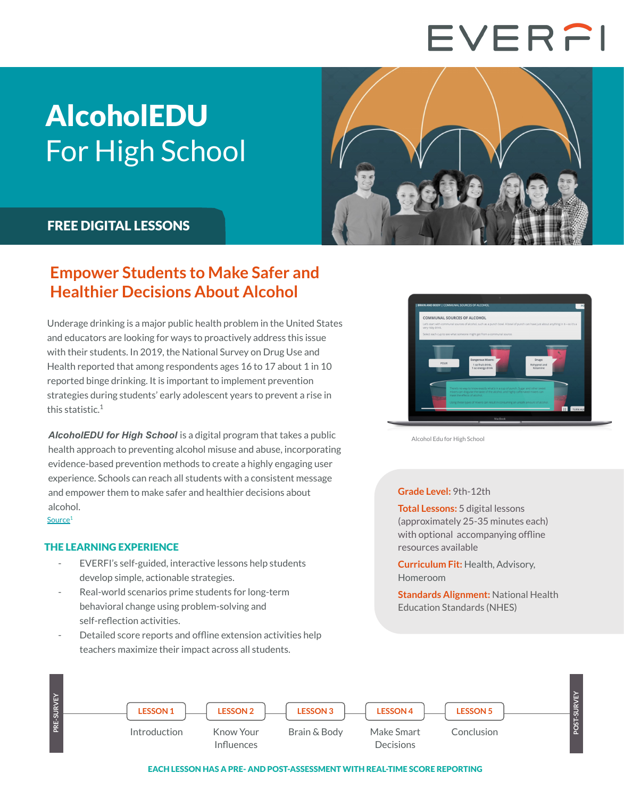# EVERFI

## AlcoholEDU For High School



### FREE DIGITAL LESSONS

THE LEARNING EXPERIENCE

self-reflection activities.

## **Empower Students to Make Safer and Healthier Decisions About Alcohol**

Underage drinking is a major public health problem in the United States and educators are looking for ways to proactively address this issue with their students. In 2019, the National Survey on Drug Use and Health reported that among respondents ages 16 to 17 about 1 in 10 reported binge drinking. It is important to implement prevention strategies during students' early adolescent years to prevent a rise in this statistic.<sup>1</sup>

*AlcoholEDU for High School* is a digital program that takes a public health approach to preventing alcohol misuse and abuse, incorporating evidence-based prevention methods to create a highly engaging user experience. Schools can reach all students with a consistent message and empower them to make safer and healthier decisions about alcohol. [Source](https://www.niaaa.nih.gov/publications/brochures-and-fact-sheets/underage-drinking)<sup>1</sup>

EVERFI's self-guided, interactive lessons help students

Detailed score reports and offline extension activities help

Real-world scenarios prime students for long-term behavioral change using problem-solving and

teachers maximize their impact across all students.

develop simple, actionable strategies.



Alcohol Edu for High School

#### **Grade Level:** 9th-12th

**Total Lessons:** 5 digital lessons (approximately 25-35 minutes each) with optional accompanying offline resources available

**Curriculum Fit:** Health, Advisory, Homeroom

**Standards Alignment:** National Health Education Standards (NHES)